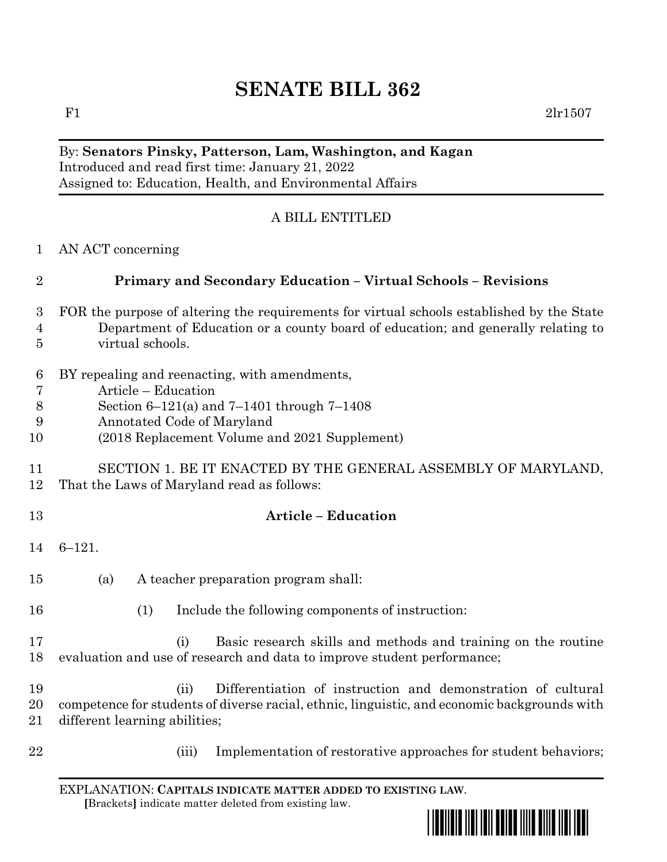# **SENATE BILL 362**

## By: **Senators Pinsky, Patterson, Lam, Washington, and Kagan** Introduced and read first time: January 21, 2022 Assigned to: Education, Health, and Environmental Affairs

## A BILL ENTITLED

AN ACT concerning

| $\overline{2}$                            | <b>Primary and Secondary Education - Virtual Schools - Revisions</b>                                                                                                                                  |  |  |  |  |  |
|-------------------------------------------|-------------------------------------------------------------------------------------------------------------------------------------------------------------------------------------------------------|--|--|--|--|--|
| 3<br>$\overline{4}$<br>$\overline{5}$     | FOR the purpose of altering the requirements for virtual schools established by the State<br>Department of Education or a county board of education; and generally relating to<br>virtual schools.    |  |  |  |  |  |
| $\boldsymbol{6}$<br>7<br>$8\,$<br>9<br>10 | BY repealing and reenacting, with amendments,<br>Article - Education<br>Section 6–121(a) and 7–1401 through $7-1408$<br>Annotated Code of Maryland<br>(2018 Replacement Volume and 2021 Supplement)   |  |  |  |  |  |
| 11<br>12                                  | SECTION 1. BE IT ENACTED BY THE GENERAL ASSEMBLY OF MARYLAND,<br>That the Laws of Maryland read as follows:                                                                                           |  |  |  |  |  |
| 13                                        | <b>Article - Education</b>                                                                                                                                                                            |  |  |  |  |  |
| 14                                        | $6 - 121.$                                                                                                                                                                                            |  |  |  |  |  |
| 15                                        | A teacher preparation program shall:<br>(a)                                                                                                                                                           |  |  |  |  |  |
| 16                                        | Include the following components of instruction:<br>(1)                                                                                                                                               |  |  |  |  |  |
| 17<br>18                                  | Basic research skills and methods and training on the routine<br>(i)<br>evaluation and use of research and data to improve student performance;                                                       |  |  |  |  |  |
| 19<br>20<br>21                            | Differentiation of instruction and demonstration of cultural<br>(ii)<br>competence for students of diverse racial, ethnic, linguistic, and economic backgrounds with<br>different learning abilities; |  |  |  |  |  |
| 22                                        | Implementation of restorative approaches for student behaviors;<br>(iii)                                                                                                                              |  |  |  |  |  |

EXPLANATION: **CAPITALS INDICATE MATTER ADDED TO EXISTING LAW**.  **[**Brackets**]** indicate matter deleted from existing law.

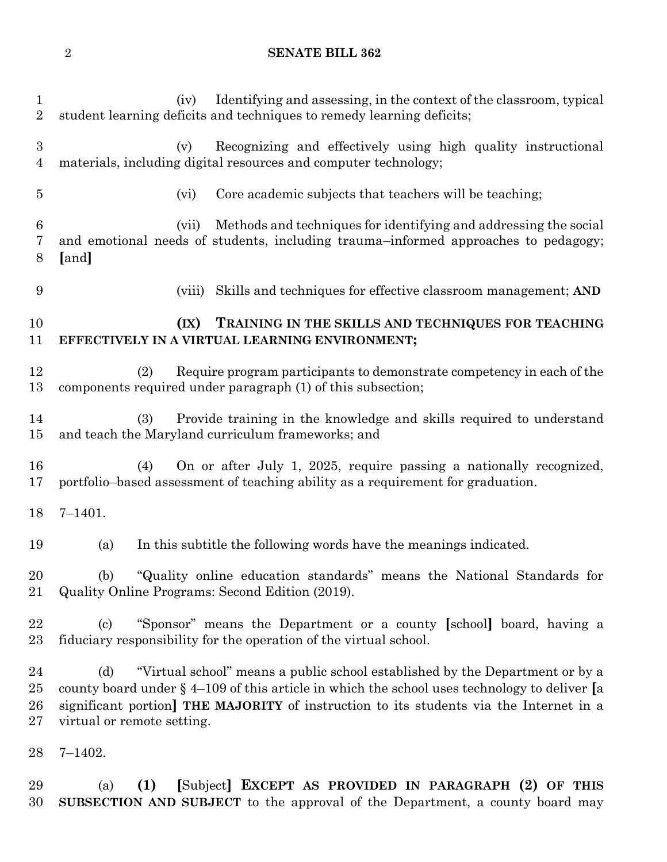#### **SENATE BILL 362**

 (iv) Identifying and assessing, in the context of the classroom, typical student learning deficits and techniques to remedy learning deficits; (v) Recognizing and effectively using high quality instructional materials, including digital resources and computer technology; (vi) Core academic subjects that teachers will be teaching; (vii) Methods and techniques for identifying and addressing the social and emotional needs of students, including trauma–informed approaches to pedagogy; **[**and**]** (viii) Skills and techniques for effective classroom management; **AND (IX) TRAINING IN THE SKILLS AND TECHNIQUES FOR TEACHING EFFECTIVELY IN A VIRTUAL LEARNING ENVIRONMENT;** (2) Require program participants to demonstrate competency in each of the components required under paragraph (1) of this subsection; (3) Provide training in the knowledge and skills required to understand and teach the Maryland curriculum frameworks; and (4) On or after July 1, 2025, require passing a nationally recognized, portfolio–based assessment of teaching ability as a requirement for graduation. 7–1401. (a) In this subtitle the following words have the meanings indicated. (b) "Quality online education standards" means the National Standards for Quality Online Programs: Second Edition (2019). (c) "Sponsor" means the Department or a county **[**school**]** board, having a fiduciary responsibility for the operation of the virtual school. (d) "Virtual school" means a public school established by the Department or by a county board under § 4–109 of this article in which the school uses technology to deliver **[**a significant portion**] THE MAJORITY** of instruction to its students via the Internet in a virtual or remote setting. 7–1402.

 (a) **(1) [**Subject**] EXCEPT AS PROVIDED IN PARAGRAPH (2) OF THIS SUBSECTION AND SUBJECT** to the approval of the Department, a county board may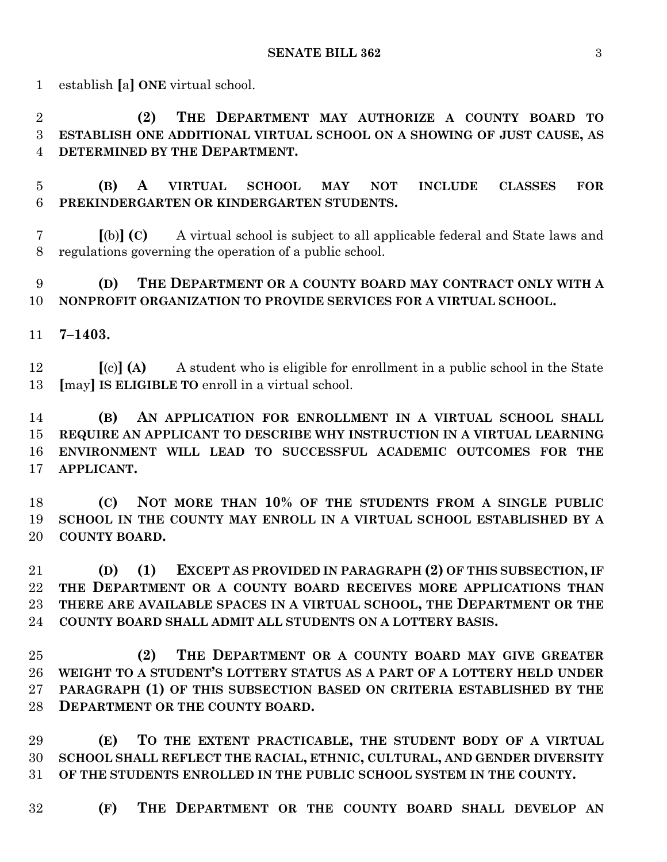establish **[**a**] ONE** virtual school.

 **(2) THE DEPARTMENT MAY AUTHORIZE A COUNTY BOARD TO ESTABLISH ONE ADDITIONAL VIRTUAL SCHOOL ON A SHOWING OF JUST CAUSE, AS DETERMINED BY THE DEPARTMENT.**

 **(B) A VIRTUAL SCHOOL MAY NOT INCLUDE CLASSES FOR PREKINDERGARTEN OR KINDERGARTEN STUDENTS.**

 **[**(b)**] (C)** A virtual school is subject to all applicable federal and State laws and regulations governing the operation of a public school.

# **(D) THE DEPARTMENT OR A COUNTY BOARD MAY CONTRACT ONLY WITH A NONPROFIT ORGANIZATION TO PROVIDE SERVICES FOR A VIRTUAL SCHOOL.**

**7–1403.**

 **[**(c)**] (A)** A student who is eligible for enrollment in a public school in the State **[**may**] IS ELIGIBLE TO** enroll in a virtual school.

 **(B) AN APPLICATION FOR ENROLLMENT IN A VIRTUAL SCHOOL SHALL REQUIRE AN APPLICANT TO DESCRIBE WHY INSTRUCTION IN A VIRTUAL LEARNING ENVIRONMENT WILL LEAD TO SUCCESSFUL ACADEMIC OUTCOMES FOR THE APPLICANT.**

 **(C) NOT MORE THAN 10% OF THE STUDENTS FROM A SINGLE PUBLIC SCHOOL IN THE COUNTY MAY ENROLL IN A VIRTUAL SCHOOL ESTABLISHED BY A COUNTY BOARD.**

 **(D) (1) EXCEPT AS PROVIDED IN PARAGRAPH (2) OF THIS SUBSECTION, IF THE DEPARTMENT OR A COUNTY BOARD RECEIVES MORE APPLICATIONS THAN THERE ARE AVAILABLE SPACES IN A VIRTUAL SCHOOL, THE DEPARTMENT OR THE COUNTY BOARD SHALL ADMIT ALL STUDENTS ON A LOTTERY BASIS.**

 **(2) THE DEPARTMENT OR A COUNTY BOARD MAY GIVE GREATER WEIGHT TO A STUDENT'S LOTTERY STATUS AS A PART OF A LOTTERY HELD UNDER PARAGRAPH (1) OF THIS SUBSECTION BASED ON CRITERIA ESTABLISHED BY THE DEPARTMENT OR THE COUNTY BOARD.**

 **(E) TO THE EXTENT PRACTICABLE, THE STUDENT BODY OF A VIRTUAL SCHOOL SHALL REFLECT THE RACIAL, ETHNIC, CULTURAL, AND GENDER DIVERSITY OF THE STUDENTS ENROLLED IN THE PUBLIC SCHOOL SYSTEM IN THE COUNTY.**

**(F) THE DEPARTMENT OR THE COUNTY BOARD SHALL DEVELOP AN**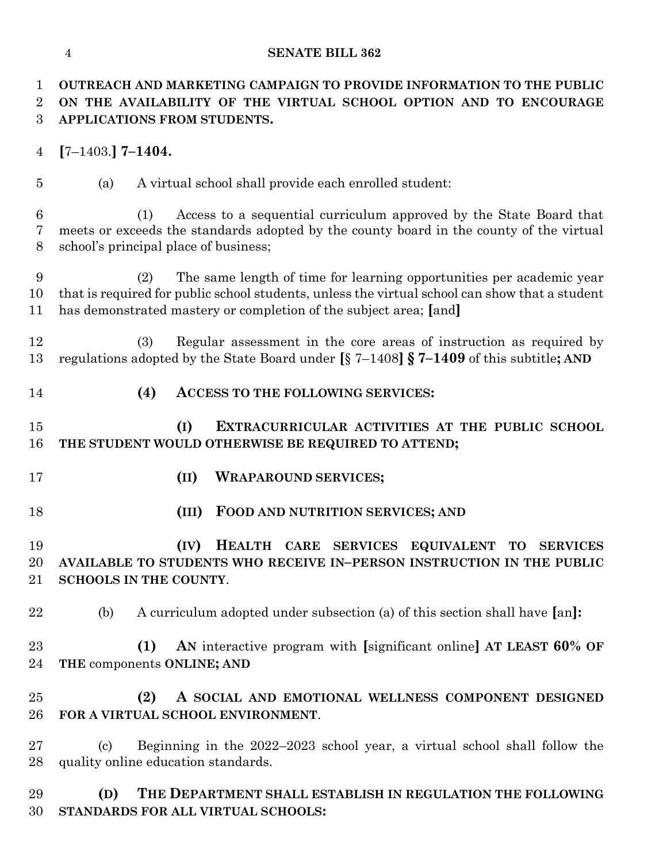#### **SENATE BILL 362**

 **OUTREACH AND MARKETING CAMPAIGN TO PROVIDE INFORMATION TO THE PUBLIC ON THE AVAILABILITY OF THE VIRTUAL SCHOOL OPTION AND TO ENCOURAGE APPLICATIONS FROM STUDENTS.**

**[**7–1403.**] 7–1404.**

(a) A virtual school shall provide each enrolled student:

 (1) Access to a sequential curriculum approved by the State Board that meets or exceeds the standards adopted by the county board in the county of the virtual school's principal place of business;

 (2) The same length of time for learning opportunities per academic year that is required for public school students, unless the virtual school can show that a student has demonstrated mastery or completion of the subject area; **[**and**]**

 (3) Regular assessment in the core areas of instruction as required by regulations adopted by the State Board under **[**§ 7–1408**] § 7–1409** of this subtitle**; AND**

**(4) ACCESS TO THE FOLLOWING SERVICES:**

# **(I) EXTRACURRICULAR ACTIVITIES AT THE PUBLIC SCHOOL THE STUDENT WOULD OTHERWISE BE REQUIRED TO ATTEND;**

- 
- **(II) WRAPAROUND SERVICES;**
- **(III) FOOD AND NUTRITION SERVICES; AND**

 **(IV) HEALTH CARE SERVICES EQUIVALENT TO SERVICES AVAILABLE TO STUDENTS WHO RECEIVE IN–PERSON INSTRUCTION IN THE PUBLIC SCHOOLS IN THE COUNTY**.

(b) A curriculum adopted under subsection (a) of this section shall have **[**an**]:**

 **(1) AN** interactive program with **[**significant online**] AT LEAST 60% OF THE** components **ONLINE; AND**

 **(2) A SOCIAL AND EMOTIONAL WELLNESS COMPONENT DESIGNED FOR A VIRTUAL SCHOOL ENVIRONMENT**.

 (c) Beginning in the 2022–2023 school year, a virtual school shall follow the quality online education standards.

 **(D) THE DEPARTMENT SHALL ESTABLISH IN REGULATION THE FOLLOWING STANDARDS FOR ALL VIRTUAL SCHOOLS:**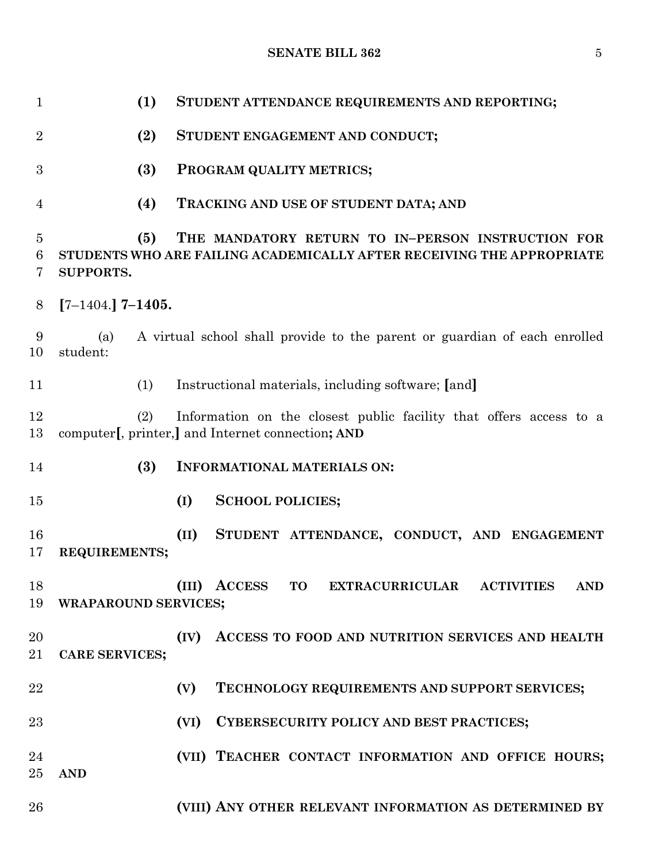### **SENATE BILL 362** 5

| $\mathbf{1}$             |                       | (1) |      | STUDENT ATTENDANCE REQUIREMENTS AND REPORTING;                                                                             |
|--------------------------|-----------------------|-----|------|----------------------------------------------------------------------------------------------------------------------------|
| $\overline{2}$           |                       | (2) |      | STUDENT ENGAGEMENT AND CONDUCT;                                                                                            |
| 3                        |                       | (3) |      | PROGRAM QUALITY METRICS;                                                                                                   |
| $\overline{4}$           |                       | (4) |      | TRACKING AND USE OF STUDENT DATA; AND                                                                                      |
| $\overline{5}$<br>6<br>7 | (5)<br>SUPPORTS.      |     |      | THE MANDATORY RETURN TO IN-PERSON INSTRUCTION FOR<br>STUDENTS WHO ARE FAILING ACADEMICALLY AFTER RECEIVING THE APPROPRIATE |
| 8                        | $[7-1404.]$ 7-1405.   |     |      |                                                                                                                            |
| 9<br>10                  | (a)<br>student:       |     |      | A virtual school shall provide to the parent or guardian of each enrolled                                                  |
| 11                       | (1)                   |     |      | Instructional materials, including software; [and]                                                                         |
| 12<br>13                 | (2)                   |     |      | Information on the closest public facility that offers access to a<br>computer[, printer,] and Internet connection; AND    |
| 14                       |                       | (3) |      | <b>INFORMATIONAL MATERIALS ON:</b>                                                                                         |
| 15                       |                       |     | (I)  | <b>SCHOOL POLICIES;</b>                                                                                                    |
| 16<br>17                 | <b>REQUIREMENTS;</b>  |     | (II) | STUDENT ATTENDANCE, CONDUCT, AND ENGAGEMENT                                                                                |
| 18<br>19                 | WRAPAROUND SERVICES;  |     |      | (III) ACCESS<br>TO EXTRACURRICULAR ACTIVITIES<br><b>AND</b>                                                                |
| 20<br>21                 | <b>CARE SERVICES;</b> |     | (IV) | ACCESS TO FOOD AND NUTRITION SERVICES AND HEALTH                                                                           |
| 22                       |                       |     | (V)  | TECHNOLOGY REQUIREMENTS AND SUPPORT SERVICES;                                                                              |
| 23                       |                       |     | (VI) | CYBERSECURITY POLICY AND BEST PRACTICES;                                                                                   |
| 24<br>25                 | <b>AND</b>            |     |      | (VII) TEACHER CONTACT INFORMATION AND OFFICE HOURS;                                                                        |
| 26                       |                       |     |      | (VIII) ANY OTHER RELEVANT INFORMATION AS DETERMINED BY                                                                     |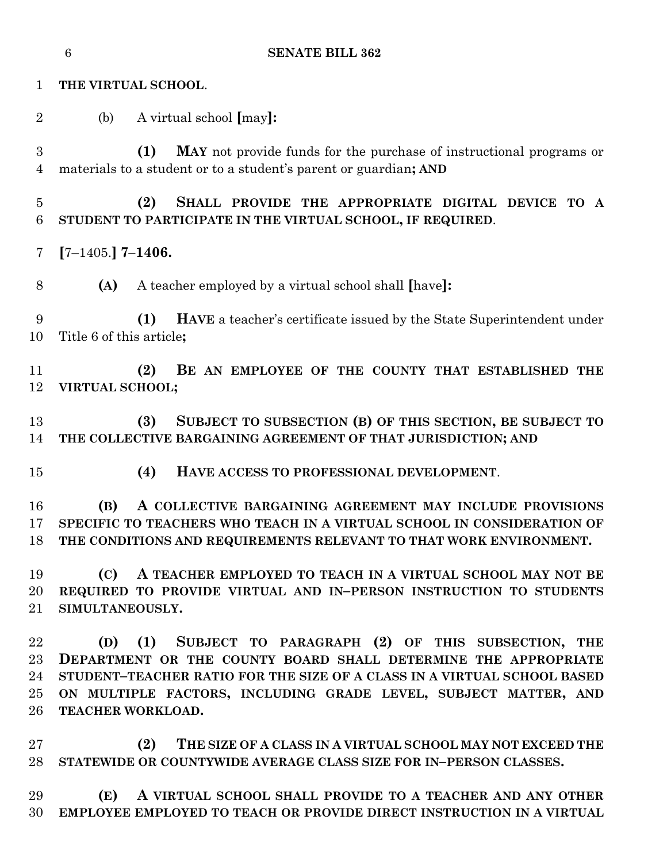|                            | $\,6$                    | <b>SENATE BILL 362</b>                                                                                                                                                                                                                                                                    |
|----------------------------|--------------------------|-------------------------------------------------------------------------------------------------------------------------------------------------------------------------------------------------------------------------------------------------------------------------------------------|
| $\mathbf 1$                |                          | THE VIRTUAL SCHOOL.                                                                                                                                                                                                                                                                       |
| $\overline{2}$             | (b)                      | A virtual school [may]:                                                                                                                                                                                                                                                                   |
| 3<br>4                     |                          | (1)<br><b>MAY</b> not provide funds for the purchase of instructional programs or<br>materials to a student or to a student's parent or guardian; AND                                                                                                                                     |
| 5<br>6                     |                          | (2)<br>SHALL PROVIDE THE APPROPRIATE DIGITAL DEVICE TO A<br>STUDENT TO PARTICIPATE IN THE VIRTUAL SCHOOL, IF REQUIRED.                                                                                                                                                                    |
| 7                          | $[7-1405.]$ 7-1406.      |                                                                                                                                                                                                                                                                                           |
| 8                          | (A)                      | A teacher employed by a virtual school shall [have]:                                                                                                                                                                                                                                      |
| 9<br>10                    | Title 6 of this article; | (1)<br><b>HAVE</b> a teacher's certificate issued by the State Superintendent under                                                                                                                                                                                                       |
| 11<br>12                   | VIRTUAL SCHOOL;          | (2)<br>BE AN EMPLOYEE OF THE COUNTY THAT ESTABLISHED THE                                                                                                                                                                                                                                  |
| 13<br>14                   |                          | SUBJECT TO SUBSECTION (B) OF THIS SECTION, BE SUBJECT TO<br>(3)<br>THE COLLECTIVE BARGAINING AGREEMENT OF THAT JURISDICTION; AND                                                                                                                                                          |
| 15                         |                          | (4)<br>HAVE ACCESS TO PROFESSIONAL DEVELOPMENT.                                                                                                                                                                                                                                           |
| 16<br>17<br>18             | (B)                      | A COLLECTIVE BARGAINING AGREEMENT MAY INCLUDE PROVISIONS<br>SPECIFIC TO TEACHERS WHO TEACH IN A VIRTUAL SCHOOL IN CONSIDERATION OF<br>THE CONDITIONS AND REQUIREMENTS RELEVANT TO THAT WORK ENVIRONMENT.                                                                                  |
| 19<br>20<br>21             | (C)<br>SIMULTANEOUSLY.   | A TEACHER EMPLOYED TO TEACH IN A VIRTUAL SCHOOL MAY NOT BE<br>REQUIRED TO PROVIDE VIRTUAL AND IN-PERSON INSTRUCTION TO STUDENTS                                                                                                                                                           |
| 22<br>23<br>24<br>25<br>26 | (D)                      | (1) SUBJECT TO PARAGRAPH (2) OF THIS SUBSECTION, THE<br>DEPARTMENT OR THE COUNTY BOARD SHALL DETERMINE THE APPROPRIATE<br>STUDENT-TEACHER RATIO FOR THE SIZE OF A CLASS IN A VIRTUAL SCHOOL BASED<br>ON MULTIPLE FACTORS, INCLUDING GRADE LEVEL, SUBJECT MATTER, AND<br>TEACHER WORKLOAD. |
| 27<br>28                   |                          | (2)<br>THE SIZE OF A CLASS IN A VIRTUAL SCHOOL MAY NOT EXCEED THE<br>STATEWIDE OR COUNTYWIDE AVERAGE CLASS SIZE FOR IN-PERSON CLASSES.                                                                                                                                                    |
| 29<br>30                   | (E)                      | A VIRTUAL SCHOOL SHALL PROVIDE TO A TEACHER AND ANY OTHER<br>EMPLOYEE EMPLOYED TO TEACH OR PROVIDE DIRECT INSTRUCTION IN A VIRTUAL                                                                                                                                                        |